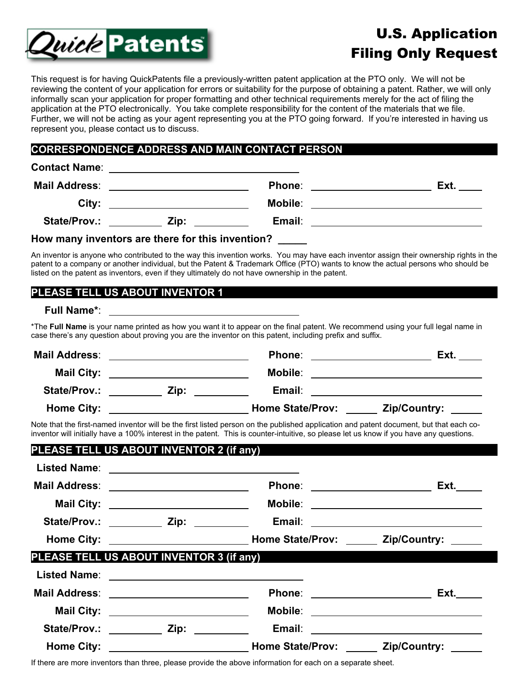

# U.S. Application Filing Only Request

This request is for having QuickPatents file a previously-written patent application at the PTO only. We will not be reviewing the content of your application for errors or suitability for the purpose of obtaining a patent. Rather, we will only informally scan your application for proper formatting and other technical requirements merely for the act of filing the application at the PTO electronically. You take complete responsibility for the content of the materials that we file. Further, we will not be acting as your agent representing you at the PTO going forward. If you're interested in having us represent you, please contact us to discuss.

## **CORRESPONDENCE ADDRESS AND MAIN CONTACT PERSON**

| <b>Contact Name:</b> | <u> 1980 - Andrea Aonaichte, ann an t-Èireann an t-Èireann an t-Èireann an t-Èireann an t-Èireann an t-Èireann an</u>                                                                                                                |                                                           |                                                                                                                      |
|----------------------|--------------------------------------------------------------------------------------------------------------------------------------------------------------------------------------------------------------------------------------|-----------------------------------------------------------|----------------------------------------------------------------------------------------------------------------------|
| Mail Address:        | <u>and the state of the state of the state of the state of the state of the state of the state of the state of the state of the state of the state of the state of the state of the state of the state of the state of the state</u> | Phone:<br>the contract of the contract of the contract of | Ext.                                                                                                                 |
| City:                |                                                                                                                                                                                                                                      | <b>Mobile:</b>                                            | <u> 1980 - Jan Samuel Barbara, martin a shekara 1980 - An tsa a tsa a tsa a tsa a tsa a tsa a tsa a tsa a tsa a</u>  |
| State/Prov.:         | Zip:                                                                                                                                                                                                                                 | Email:                                                    | <u> 1980 - Jan Stein Stein Stein Stein Stein Stein Stein Stein Stein Stein Stein Stein Stein Stein Stein Stein S</u> |
|                      |                                                                                                                                                                                                                                      |                                                           |                                                                                                                      |

#### **How many inventors are there for this invention? \_\_\_\_\_**

An inventor is anyone who contributed to the way this invention works. You may have each inventor assign their ownership rights in the patent to a company or another individual, but the Patent & Trademark Office (PTO) wants to know the actual persons who should be listed on the patent as inventors, even if they ultimately do not have ownership in the patent.

## **PLEASE TELL US ABOUT INVENTOR 1**

### **Full Name\***:

\*The **Full Name** is your name printed as how you want it to appear on the final patent. We recommend using your full legal name in case there's any question about proving you are the inventor on this patent, including prefix and suffix.

| <b>Mail Address:</b> |      | Phone:                  | Ext.         |
|----------------------|------|-------------------------|--------------|
| <b>Mail City:</b>    |      | <b>Mobile:</b>          |              |
| State/Prov.:         | Zip: | Email:                  |              |
| <b>Home City:</b>    |      | <b>Home State/Prov:</b> | Zip/Country: |

Note that the first-named inventor will be the first listed person on the published application and patent document, but that each coinventor will initially have a 100% interest in the patent. This is counter-intuitive, so please let us know if you have any questions.

| PLEASE TELL US ABOUT INVENTOR 2 (if any)  |                                         |                                                                                  |                                            |
|-------------------------------------------|-----------------------------------------|----------------------------------------------------------------------------------|--------------------------------------------|
|                                           |                                         |                                                                                  |                                            |
| Mail Address: _________________________   |                                         |                                                                                  |                                            |
|                                           | Mail City: _________________________    |                                                                                  |                                            |
|                                           |                                         | State/Prov.: ____________ Zip: ____________ Email: _____________________________ |                                            |
|                                           |                                         |                                                                                  |                                            |
| PLEASE TELL US ABOUT INVENTOR 3 (if any)  |                                         |                                                                                  |                                            |
|                                           |                                         |                                                                                  |                                            |
| Mail Address: ___________________________ |                                         |                                                                                  |                                            |
|                                           | Mail City: ____________________________ |                                                                                  | Mobile: __________________________________ |
|                                           |                                         | State/Prov.: ____________ Zip: _____________ Email: ____________________________ |                                            |
|                                           |                                         |                                                                                  |                                            |

If there are more inventors than three, please provide the above information for each on a separate sheet.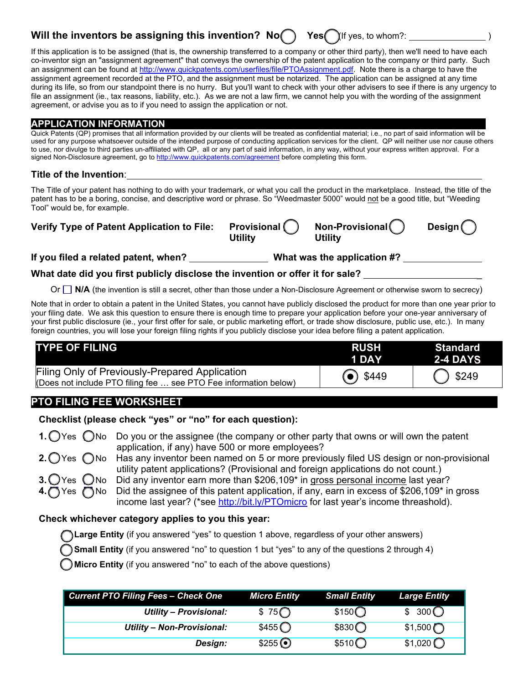# **Will the inventors be assigning this invention? No<sub>2</sub> Yes** (If yes, to whom?:

If this application is to be assigned (that is, the ownership transferred to a company or other third party), then we'll need to have each co-inventor sign an "assignment agreement" that conveys the ownership of the patent application to the company or third party. Such an assignment can be found at http://www.quickpatents.com/userfiles/file/PTOAssignment.pdf. Note there is a charge to have the assignment agreement recorded at the PTO, and the assignment must be notarized. The application can be assigned at any time during its life, so from our standpoint there is no hurry. But you'll want to check with your other advisers to see if there is any urgency to file an assignment (ie., tax reasons, liability, etc.). As we are not a law firm, we cannot help you with the wording of the assignment agreement, or advise you as to if you need to assign the application or not.

### **APPLICATION INFORMATION**

Quick Patents (QP) promises that all information provided by our clients will be treated as confidential material; i.e., no part of said information will be used for any purpose whatsoever outside of the intended purpose of conducting application services for the client. QP will neither use nor cause others to use, nor divulge to third parties un-affiliated with QP, all or any part of said information, in any way, without your express written approval. For a signed Non-Disclosure agreement, go to http://www.quickpatents.com/agreement before completing this form.

#### **Title of the Invention**:

The Title of your patent has nothing to do with your trademark, or what you call the product in the marketplace. Instead, the title of the patent has to be a boring, concise, and descriptive word or phrase. So "Weedmaster 5000" would not be a good title, but "Weeding Tool" would be, for example.

| Verify Type of Patent Application to File: Provisional () |         | Non-Provisional | Design $\bigcirc$ |
|-----------------------------------------------------------|---------|-----------------|-------------------|
|                                                           | Utility | <b>Utility</b>  |                   |

**If you filed a related patent, when? What was the application #?** 

**What date did you first publicly disclose the invention or offer it for sale?** 

Or  $\Box$  N/A (the invention is still a secret, other than those under a Non-Disclosure Agreement or otherwise sworn to secrecy)

Note that in order to obtain a patent in the United States, you cannot have publicly disclosed the product for more than one year prior to your filing date. We ask this question to ensure there is enough time to prepare your application before your one-year anniversary of your first public disclosure (ie., your first offer for sale, or public marketing effort, or trade show disclosure, public use, etc.). In many foreign countries, you will lose your foreign filing rights if you publicly disclose your idea before filing a patent application.

| <b>TYPE OF FILING</b>                                                                                              | <b>RUSH</b><br>1 DAY | Standard<br><b>2-4 DAYS</b> |
|--------------------------------------------------------------------------------------------------------------------|----------------------|-----------------------------|
| Filing Only of Previously-Prepared Application<br>(Does not include PTO filing fee  see PTO Fee information below) | $\odot$ \$449        | 3249                        |

## **PTO FILING FEE WORKSHEET**

## **Checklist (please check "yes" or "no" for each question):**

**1.**  $\bigcirc$  Yes  $\bigcirc$  No Do you or the assignee (the company or other party that owns or will own the patent application, if any) have 500 or more employees?

**2.**  $\bigcap$  Yes  $\bigcap$  No Has any inventor been named on 5 or more previously filed US design or non-provisional utility patent applications? (Provisional and foreign applications do not count.)

**3.**  $\bigcirc$  Yes  $\bigcirc$  No Did any inventor earn more than \$206,109<sup>\*</sup> in gross personal income last year? Yes  $\bigcap$ No Did the assignee of this patent application, if any, earn in excess of \$206,109<sup>\*</sup> in gross income last year? (\*see http://bit.ly/PTOmicro for last year's income threashold).

## **Check whichever category applies to you this year:**

**Large Entity** (if you answered "yes" to question 1 above, regardless of your other answers)

**Small Entity** (if you answered "no" to question 1 but "yes" to any of the questions 2 through 4)

**Micro Entity** (if you answered "no" to each of the above questions)

| <b>Current PTO Filing Fees - Check One</b> | <b>Micro Entity</b>                     | <b>Small Entity</b>                     | <b>Large Entity</b>                       |
|--------------------------------------------|-----------------------------------------|-----------------------------------------|-------------------------------------------|
| <b>Utility - Provisional:</b>              | $$75$ <sup><math>\bigcirc</math></sup>  | $$150\bigcirc$                          | \$300 <sup>o</sup>                        |
| Utility - Non-Provisional:                 | $$455$ <sup><math>\bigcirc</math></sup> | $$830\bigcirc$                          | \$1,500                                   |
| Design:                                    | $$255$ $\odot$                          | $$510$ <sup><math>\bigcirc</math></sup> | $$1,020$ <sup><math>\bigcirc</math></sup> |